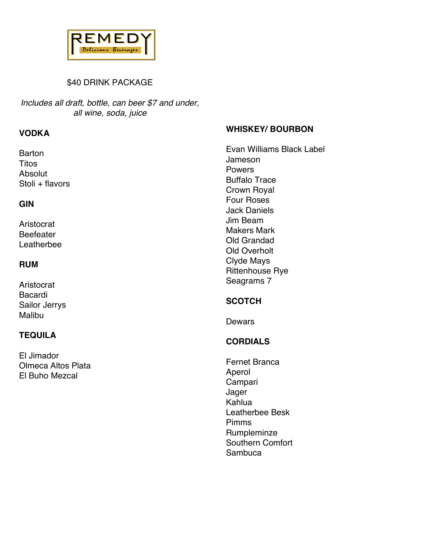

## \$40 DRINK PACKAGE

*Includes all draft, bottle, can beer \$7 and under, all wine, soda, juice*

## **VODKA**

Barton Titos Absolut Stoli + flavors

#### **GIN**

Aristocrat Beefeater Leatherbee

#### **RUM**

Aristocrat Bacardi Sailor Jerrys Malibu

## **TEQUILA**

El Jimador Olmeca Altos Plata El Buho Mezcal

## **WHISKEY/ BOURBON**

Evan Williams Black Label Jameson Powers Buffalo Trace Crown Royal Four Roses Jack Daniels Jim Beam Makers Mark Old Grandad Old Overholt Clyde Mays Rittenhouse Rye Seagrams 7

## **SCOTCH**

Dewars

# **CORDIALS**

Fernet Branca Aperol Campari Jager Kahlua Leatherbee Besk Pimms **Rumpleminze** Southern Comfort **Sambuca**